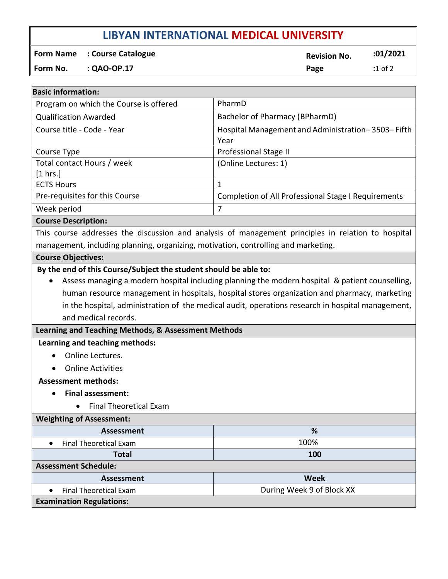# **LIBYAN INTERNATIONAL MEDICAL UNIVERSITY**

**Form Name** : Course Catalogue **Revision No. 201/2021** 

**Form No. : QAO-OP.17 Page :**1 of 2

| <b>Basic information:</b>                                                                                                                                                                                                 |                                                            |
|---------------------------------------------------------------------------------------------------------------------------------------------------------------------------------------------------------------------------|------------------------------------------------------------|
| Program on which the Course is offered                                                                                                                                                                                    | PharmD                                                     |
| <b>Qualification Awarded</b>                                                                                                                                                                                              | Bachelor of Pharmacy (BPharmD)                             |
| Course title - Code - Year                                                                                                                                                                                                | Hospital Management and Administration-3503-Fifth<br>Year  |
| Course Type                                                                                                                                                                                                               | Professional Stage II                                      |
| Total contact Hours / week<br>[1 hrs.]                                                                                                                                                                                    | (Online Lectures: 1)                                       |
| <b>ECTS Hours</b>                                                                                                                                                                                                         | $\mathbf{1}$                                               |
| Pre-requisites for this Course                                                                                                                                                                                            | <b>Completion of All Professional Stage I Requirements</b> |
| Week period                                                                                                                                                                                                               | 7                                                          |
| <b>Course Description:</b>                                                                                                                                                                                                |                                                            |
| This course addresses the discussion and analysis of management principles in relation to hospital                                                                                                                        |                                                            |
| management, including planning, organizing, motivation, controlling and marketing.                                                                                                                                        |                                                            |
| <b>Course Objectives:</b>                                                                                                                                                                                                 |                                                            |
| human resource management in hospitals, hospital stores organization and pharmacy, marketing<br>in the hospital, administration of the medical audit, operations research in hospital management,<br>and medical records. |                                                            |
| Learning and Teaching Methods, & Assessment Methods                                                                                                                                                                       |                                                            |
| Learning and teaching methods:                                                                                                                                                                                            |                                                            |
| Online Lectures.                                                                                                                                                                                                          |                                                            |
| <b>Online Activities</b>                                                                                                                                                                                                  |                                                            |
| <b>Assessment methods:</b>                                                                                                                                                                                                |                                                            |
| <b>Final assessment:</b>                                                                                                                                                                                                  |                                                            |
| <b>Final Theoretical Exam</b>                                                                                                                                                                                             |                                                            |
| <b>Weighting of Assessment:</b>                                                                                                                                                                                           |                                                            |
| <b>Assessment</b>                                                                                                                                                                                                         | %                                                          |
| <b>Final Theoretical Exam</b><br>$\bullet$                                                                                                                                                                                | 100%                                                       |
| <b>Total</b>                                                                                                                                                                                                              | 100                                                        |
| <b>Assessment Schedule:</b>                                                                                                                                                                                               |                                                            |
| <b>Assessment</b>                                                                                                                                                                                                         | <b>Week</b>                                                |
| <b>Final Theoretical Exam</b>                                                                                                                                                                                             | During Week 9 of Block XX                                  |
| <b>Examination Regulations:</b>                                                                                                                                                                                           |                                                            |